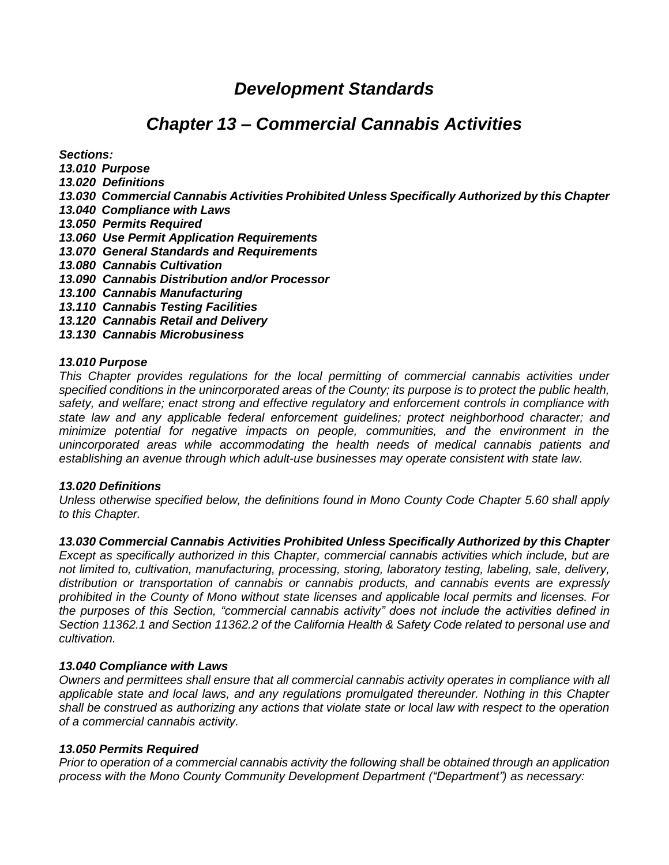# *Development Standards*

# *Chapter 13 – Commercial Cannabis Activities*

*Sections:*

- *13.010 Purpose*
- *13.020 Definitions*
- *13.030 Commercial Cannabis Activities Prohibited Unless Specifically Authorized by this Chapter*
- *13.040 Compliance with Laws*
- *13.050 Permits Required*
- *13.060 Use Permit Application Requirements*
- *13.070 General Standards and Requirements*
- *13.080 Cannabis Cultivation*
- *13.090 Cannabis Distribution and/or Processor*
- *13.100 Cannabis Manufacturing*
- *13.110 Cannabis Testing Facilities*
- *13.120 Cannabis Retail and Delivery*
- *13.130 Cannabis Microbusiness*

#### *13.010 Purpose*

*This Chapter provides regulations for the local permitting of commercial cannabis activities under specified conditions in the unincorporated areas of the County; its purpose is to protect the public health, safety, and welfare; enact strong and effective regulatory and enforcement controls in compliance with state law and any applicable federal enforcement guidelines; protect neighborhood character; and minimize potential for negative impacts on people, communities, and the environment in the unincorporated areas while accommodating the health needs of medical cannabis patients and establishing an avenue through which adult-use businesses may operate consistent with state law.* 

### *13.020 Definitions*

*Unless otherwise specified below, the definitions found in Mono County Code Chapter 5.60 shall apply to this Chapter.* 

*13.030 Commercial Cannabis Activities Prohibited Unless Specifically Authorized by this Chapter* 

*Except as specifically authorized in this Chapter, commercial cannabis activities which include, but are not limited to, cultivation, manufacturing, processing, storing, laboratory testing, labeling, sale, delivery, distribution or transportation of cannabis or cannabis products, and cannabis events are expressly prohibited in the County of Mono without state licenses and applicable local permits and licenses. For the purposes of this Section, "commercial cannabis activity" does not include the activities defined in Section 11362.1 and Section 11362.2 of the California Health & Safety Code related to personal use and cultivation.* 

### *13.040 Compliance with Laws*

*Owners and permittees shall ensure that all commercial cannabis activity operates in compliance with all applicable state and local laws, and any regulations promulgated thereunder. Nothing in this Chapter shall be construed as authorizing any actions that violate state or local law with respect to the operation of a commercial cannabis activity.*

### *13.050 Permits Required*

*Prior to operation of a commercial cannabis activity the following shall be obtained through an application process with the Mono County Community Development Department ("Department") as necessary:*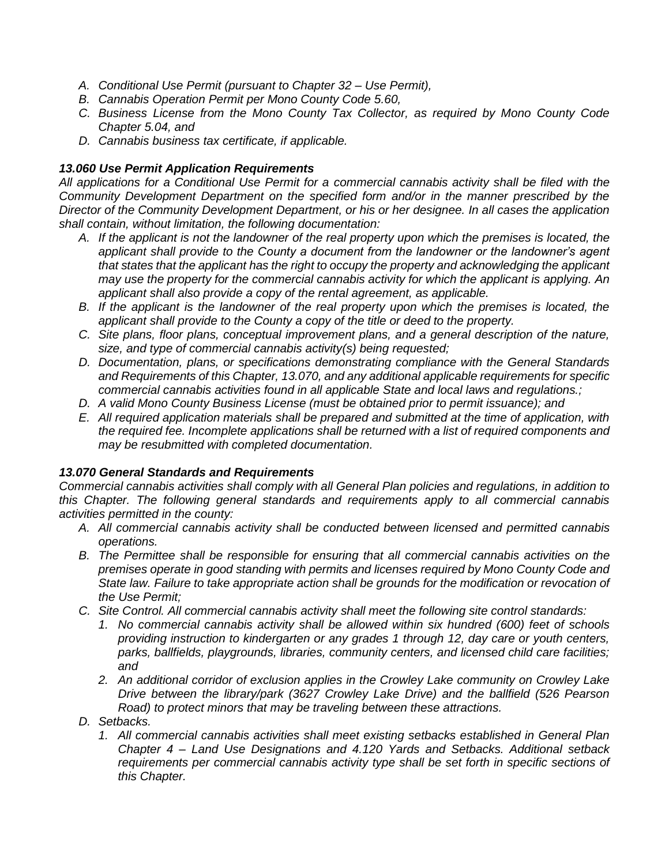- *A. Conditional Use Permit (pursuant to Chapter 32 – Use Permit),*
- *B. Cannabis Operation Permit per Mono County Code 5.60,*
- *C. Business License from the Mono County Tax Collector, as required by Mono County Code Chapter 5.04, and*
- *D. Cannabis business tax certificate, if applicable.*

## *13.060 Use Permit Application Requirements*

*All applications for a Conditional Use Permit for a commercial cannabis activity shall be filed with the Community Development Department on the specified form and/or in the manner prescribed by the Director of the Community Development Department, or his or her designee. In all cases the application shall contain, without limitation, the following documentation:* 

- *A. If the applicant is not the landowner of the real property upon which the premises is located, the applicant shall provide to the County a document from the landowner or the landowner's agent that states that the applicant has the right to occupy the property and acknowledging the applicant may use the property for the commercial cannabis activity for which the applicant is applying. An applicant shall also provide a copy of the rental agreement, as applicable.*
- *B. If the applicant is the landowner of the real property upon which the premises is located, the applicant shall provide to the County a copy of the title or deed to the property.*
- *C. Site plans, floor plans, conceptual improvement plans, and a general description of the nature, size, and type of commercial cannabis activity(s) being requested;*
- *D. Documentation, plans, or specifications demonstrating compliance with the General Standards and Requirements of this Chapter, 13.070, and any additional applicable requirements for specific commercial cannabis activities found in all applicable State and local laws and regulations.;*
- *D. A valid Mono County Business License (must be obtained prior to permit issuance); and*
- *E. All required application materials shall be prepared and submitted at the time of application, with the required fee. Incomplete applications shall be returned with a list of required components and may be resubmitted with completed documentation.*

### *13.070 General Standards and Requirements*

*Commercial cannabis activities shall comply with all General Plan policies and regulations, in addition to this Chapter. The following general standards and requirements apply to all commercial cannabis activities permitted in the county:* 

- *A. All commercial cannabis activity shall be conducted between licensed and permitted cannabis operations.*
- *B. The Permittee shall be responsible for ensuring that all commercial cannabis activities on the premises operate in good standing with permits and licenses required by Mono County Code and State law. Failure to take appropriate action shall be grounds for the modification or revocation of the Use Permit;*
- *C. Site Control. All commercial cannabis activity shall meet the following site control standards:*
	- *1. No commercial cannabis activity shall be allowed within six hundred (600) feet of schools providing instruction to kindergarten or any grades 1 through 12, day care or youth centers, parks, ballfields, playgrounds, libraries, community centers, and licensed child care facilities; and*
	- *2. An additional corridor of exclusion applies in the Crowley Lake community on Crowley Lake Drive between the library/park (3627 Crowley Lake Drive) and the ballfield (526 Pearson Road) to protect minors that may be traveling between these attractions.*
- *D. Setbacks.* 
	- *1. All commercial cannabis activities shall meet existing setbacks established in General Plan Chapter 4 – Land Use Designations and 4.120 Yards and Setbacks. Additional setback requirements per commercial cannabis activity type shall be set forth in specific sections of this Chapter.*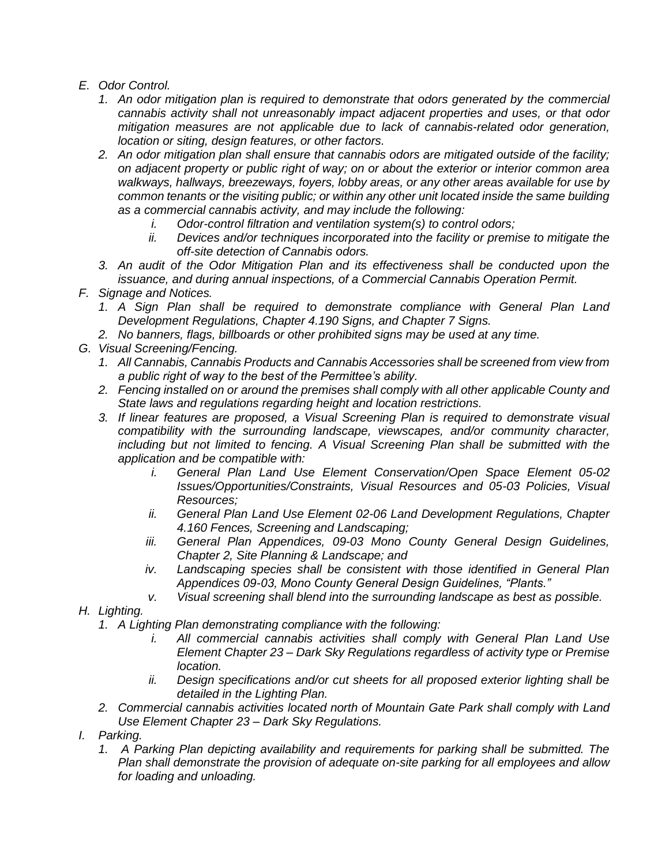- *E. Odor Control.* 
	- *1. An odor mitigation plan is required to demonstrate that odors generated by the commercial cannabis activity shall not unreasonably impact adjacent properties and uses, or that odor mitigation measures are not applicable due to lack of cannabis-related odor generation, location or siting, design features, or other factors.*
	- *2. An odor mitigation plan shall ensure that cannabis odors are mitigated outside of the facility; on adjacent property or public right of way; on or about the exterior or interior common area walkways, hallways, breezeways, foyers, lobby areas, or any other areas available for use by common tenants or the visiting public; or within any other unit located inside the same building as a commercial cannabis activity, and may include the following:*
		- *i. Odor-control filtration and ventilation system(s) to control odors;*
		- *ii. Devices and/or techniques incorporated into the facility or premise to mitigate the off-site detection of Cannabis odors.*
	- *3. An audit of the Odor Mitigation Plan and its effectiveness shall be conducted upon the issuance, and during annual inspections, of a Commercial Cannabis Operation Permit.*
- *F. Signage and Notices.*
	- *1. A Sign Plan shall be required to demonstrate compliance with General Plan Land Development Regulations, Chapter 4.190 Signs, and Chapter 7 Signs.*
	- *2. No banners, flags, billboards or other prohibited signs may be used at any time.*
- *G. Visual Screening/Fencing.* 
	- *1. All Cannabis, Cannabis Products and Cannabis Accessories shall be screened from view from a public right of way to the best of the Permittee's ability.*
	- *2. Fencing installed on or around the premises shall comply with all other applicable County and State laws and regulations regarding height and location restrictions.*
	- *3. If linear features are proposed, a Visual Screening Plan is required to demonstrate visual compatibility with the surrounding landscape, viewscapes, and/or community character, including but not limited to fencing. A Visual Screening Plan shall be submitted with the application and be compatible with:* 
		- *i. General Plan Land Use Element Conservation/Open Space Element 05-02 Issues/Opportunities/Constraints, Visual Resources and 05-03 Policies, Visual Resources;*
		- *ii. General Plan Land Use Element 02-06 Land Development Regulations, Chapter 4.160 Fences, Screening and Landscaping;*
		- *iii. General Plan Appendices, 09-03 Mono County General Design Guidelines, Chapter 2, Site Planning & Landscape; and*
		- *iv. Landscaping species shall be consistent with those identified in General Plan Appendices 09-03, Mono County General Design Guidelines, "Plants."*
		- *v. Visual screening shall blend into the surrounding landscape as best as possible.*
- *H. Lighting.* 
	- *1. A Lighting Plan demonstrating compliance with the following:* 
		- *i. All commercial cannabis activities shall comply with General Plan Land Use Element Chapter 23 – Dark Sky Regulations regardless of activity type or Premise location.*
		- *ii. Design specifications and/or cut sheets for all proposed exterior lighting shall be detailed in the Lighting Plan.*
	- *2. Commercial cannabis activities located north of Mountain Gate Park shall comply with Land Use Element Chapter 23 – Dark Sky Regulations.*
- *I. Parking.* 
	- *1. A Parking Plan depicting availability and requirements for parking shall be submitted. The Plan shall demonstrate the provision of adequate on-site parking for all employees and allow for loading and unloading.*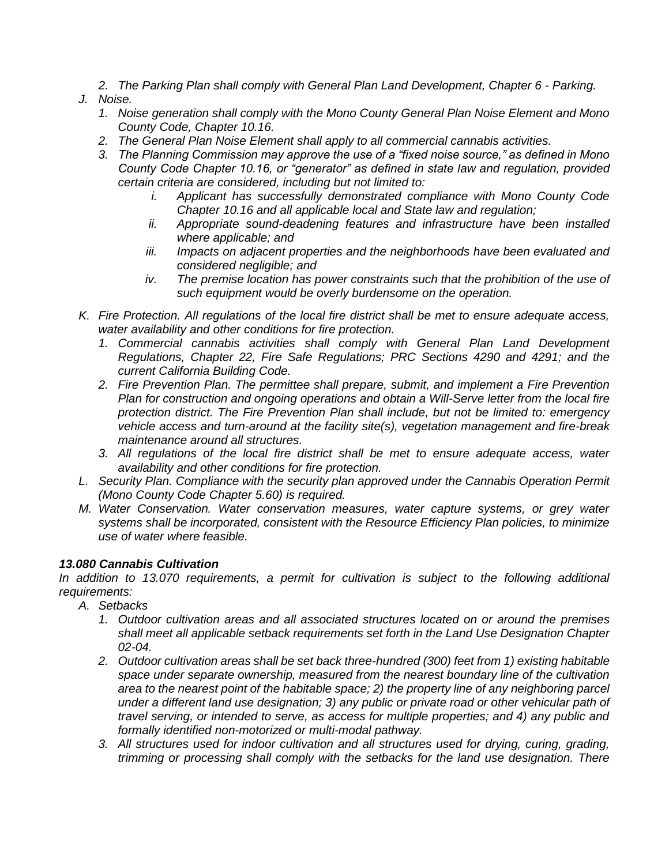*2. The Parking Plan shall comply with General Plan Land Development, Chapter 6 - Parking.*

## *J. Noise.*

- *1. Noise generation shall comply with the Mono County General Plan Noise Element and Mono County Code, Chapter 10.16.*
- *2. The General Plan Noise Element shall apply to all commercial cannabis activities.*
- *3. The Planning Commission may approve the use of a "fixed noise source," as defined in Mono County Code Chapter 10.16, or "generator" as defined in state law and regulation, provided certain criteria are considered, including but not limited to:* 
	- *i. Applicant has successfully demonstrated compliance with Mono County Code Chapter 10.16 and all applicable local and State law and regulation;*
	- *ii. Appropriate sound-deadening features and infrastructure have been installed where applicable; and*
	- *iii. Impacts on adjacent properties and the neighborhoods have been evaluated and considered negligible; and*
	- *iv. The premise location has power constraints such that the prohibition of the use of such equipment would be overly burdensome on the operation.*
- *K. Fire Protection. All regulations of the local fire district shall be met to ensure adequate access, water availability and other conditions for fire protection.* 
	- *1. Commercial cannabis activities shall comply with General Plan Land Development Regulations, Chapter 22, Fire Safe Regulations; PRC Sections 4290 and 4291; and the current California Building Code.*
	- *2. Fire Prevention Plan. The permittee shall prepare, submit, and implement a Fire Prevention Plan for construction and ongoing operations and obtain a Will-Serve letter from the local fire protection district. The Fire Prevention Plan shall include, but not be limited to: emergency vehicle access and turn-around at the facility site(s), vegetation management and fire-break maintenance around all structures.*
	- *3. All regulations of the local fire district shall be met to ensure adequate access, water availability and other conditions for fire protection.*
- *L. Security Plan. Compliance with the security plan approved under the Cannabis Operation Permit (Mono County Code Chapter 5.60) is required.*
- *M. Water Conservation. Water conservation measures, water capture systems, or grey water systems shall be incorporated, consistent with the Resource Efficiency Plan policies, to minimize use of water where feasible.*

### *13.080 Cannabis Cultivation*

In addition to 13.070 *requirements, a permit for cultivation is subject to the following additional requirements:*

- *A. Setbacks*
	- *1. Outdoor cultivation areas and all associated structures located on or around the premises shall meet all applicable setback requirements set forth in the Land Use Designation Chapter 02-04.*
	- *2. Outdoor cultivation areas shall be set back three-hundred (300) feet from 1) existing habitable space under separate ownership, measured from the nearest boundary line of the cultivation area to the nearest point of the habitable space; 2) the property line of any neighboring parcel under a different land use designation; 3) any public or private road or other vehicular path of travel serving, or intended to serve, as access for multiple properties; and 4) any public and formally identified non-motorized or multi-modal pathway.*
	- *3. All structures used for indoor cultivation and all structures used for drying, curing, grading, trimming or processing shall comply with the setbacks for the land use designation. There*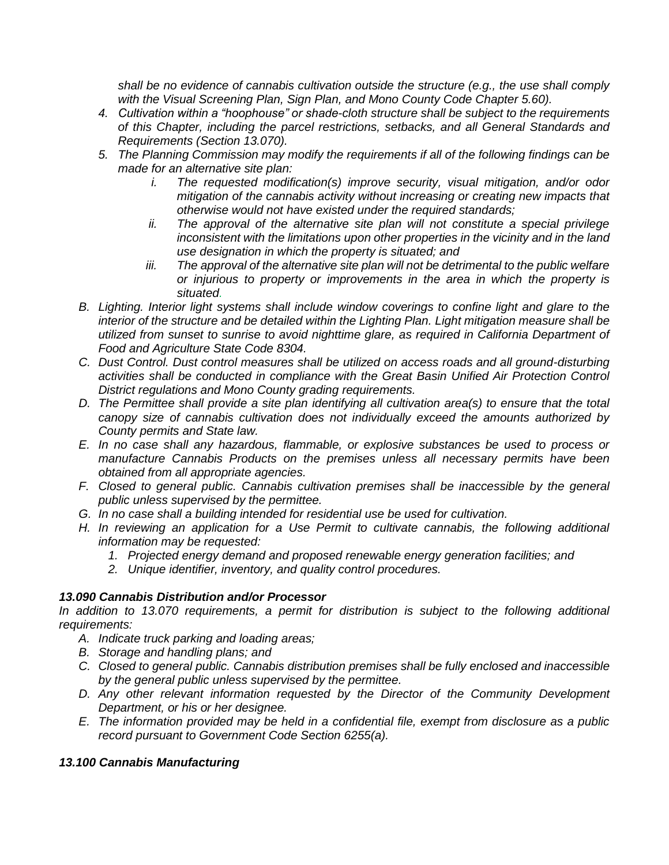*shall be no evidence of cannabis cultivation outside the structure (e.g., the use shall comply with the Visual Screening Plan, Sign Plan, and Mono County Code Chapter 5.60).*

- *4. Cultivation within a "hoophouse" or shade-cloth structure shall be subject to the requirements of this Chapter, including the parcel restrictions, setbacks, and all General Standards and Requirements (Section 13.070).*
- *5. The Planning Commission may modify the requirements if all of the following findings can be made for an alternative site plan:*
	- *i. The requested modification(s) improve security, visual mitigation, and/or odor mitigation of the cannabis activity without increasing or creating new impacts that otherwise would not have existed under the required standards;*
	- *ii. The approval of the alternative site plan will not constitute a special privilege inconsistent with the limitations upon other properties in the vicinity and in the land use designation in which the property is situated; and*
	- *iii. The approval of the alternative site plan will not be detrimental to the public welfare or injurious to property or improvements in the area in which the property is situated.*
- *B. Lighting. Interior light systems shall include window coverings to confine light and glare to the interior of the structure and be detailed within the Lighting Plan. Light mitigation measure shall be utilized from sunset to sunrise to avoid nighttime glare, as required in California Department of Food and Agriculture State Code 8304.*
- *C. Dust Control. Dust control measures shall be utilized on access roads and all ground-disturbing activities shall be conducted in compliance with the Great Basin Unified Air Protection Control District regulations and Mono County grading requirements.*
- *D. The Permittee shall provide a site plan identifying all cultivation area(s) to ensure that the total canopy size of cannabis cultivation does not individually exceed the amounts authorized by County permits and State law.*
- *E. In no case shall any hazardous, flammable, or explosive substances be used to process or manufacture Cannabis Products on the premises unless all necessary permits have been obtained from all appropriate agencies.*
- *F. Closed to general public. Cannabis cultivation premises shall be inaccessible by the general public unless supervised by the permittee.*
- *G. In no case shall a building intended for residential use be used for cultivation.*
- *H. In reviewing an application for a Use Permit to cultivate cannabis, the following additional information may be requested:* 
	- *1. Projected energy demand and proposed renewable energy generation facilities; and*
	- *2. Unique identifier, inventory, and quality control procedures.*

# *13.090 Cannabis Distribution and/or Processor*

*In addition to 13.070 requirements, a permit for distribution is subject to the following additional requirements:*

- *A. Indicate truck parking and loading areas;*
- *B. Storage and handling plans; and*
- *C. Closed to general public. Cannabis distribution premises shall be fully enclosed and inaccessible by the general public unless supervised by the permittee.*
- *D. Any other relevant information requested by the Director of the Community Development Department, or his or her designee.*
- *E. The information provided may be held in a confidential file, exempt from disclosure as a public record pursuant to Government Code Section 6255(a).*

# *13.100 Cannabis Manufacturing*